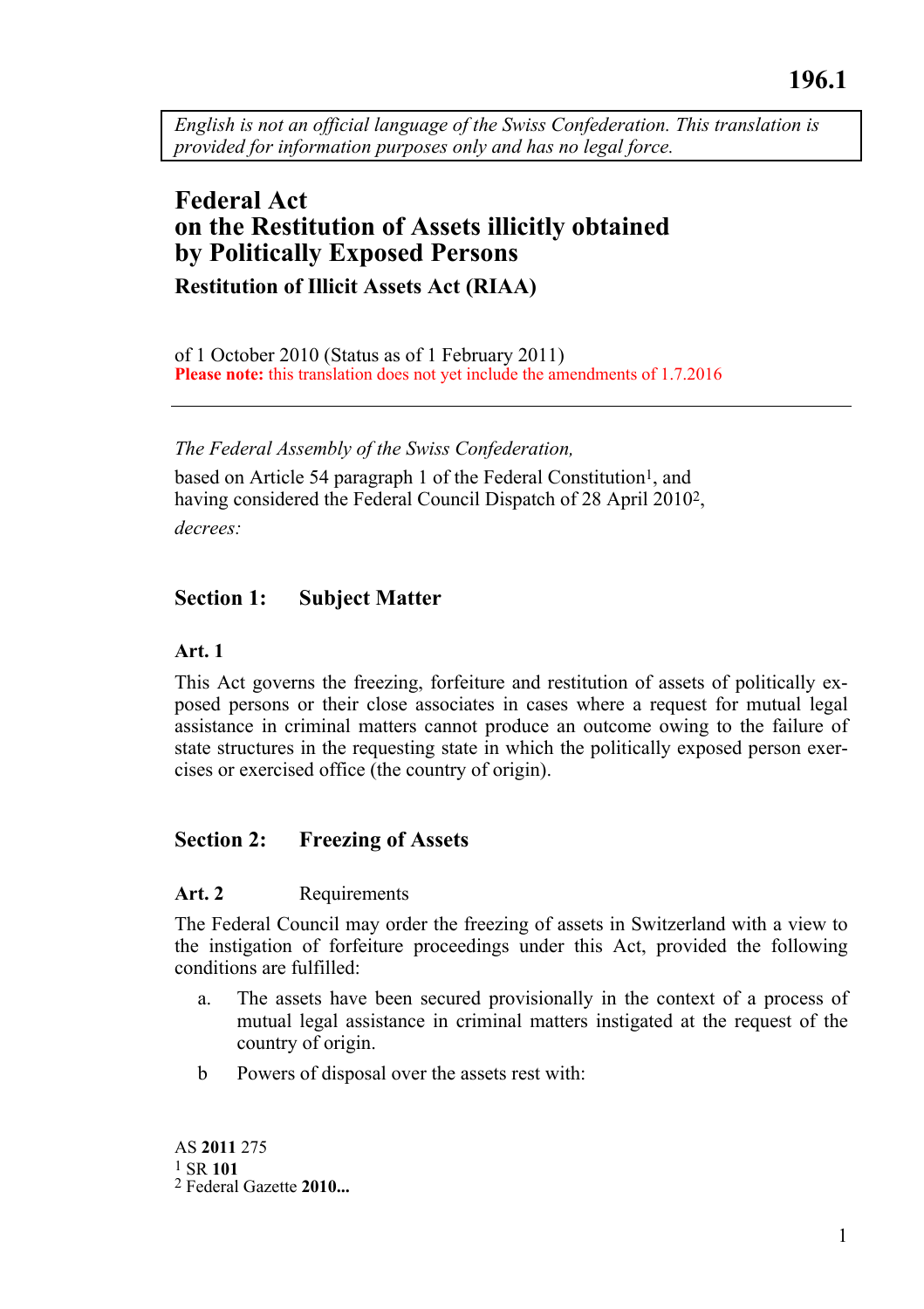*English is not an official language of the Swiss Confederation. This translation is provided for information purposes only and has no legal force.* 

# **Federal Act on the Restitution of Assets illicitly obtained by Politically Exposed Persons Restitution of Illicit Assets Act (RIAA)**

of 1 October 2010 (Status as of 1 February 2011) **Please note:** this translation does not yet include the amendments of 1.7.2016

#### *The Federal Assembly of the Swiss Confederation,*

based on Article 54 paragraph 1 of the Federal Constitution<sup>1</sup>, and having considered the Federal Council Dispatch of 28 April 20102, *decrees:* 

### **Section 1: Subject Matter**

#### **Art. 1**

This Act governs the freezing, forfeiture and restitution of assets of politically exposed persons or their close associates in cases where a request for mutual legal assistance in criminal matters cannot produce an outcome owing to the failure of state structures in the requesting state in which the politically exposed person exercises or exercised office (the country of origin).

### **Section 2: Freezing of Assets**

#### Art. 2 Requirements

The Federal Council may order the freezing of assets in Switzerland with a view to the instigation of forfeiture proceedings under this Act, provided the following conditions are fulfilled:

- a. The assets have been secured provisionally in the context of a process of mutual legal assistance in criminal matters instigated at the request of the country of origin.
- b Powers of disposal over the assets rest with: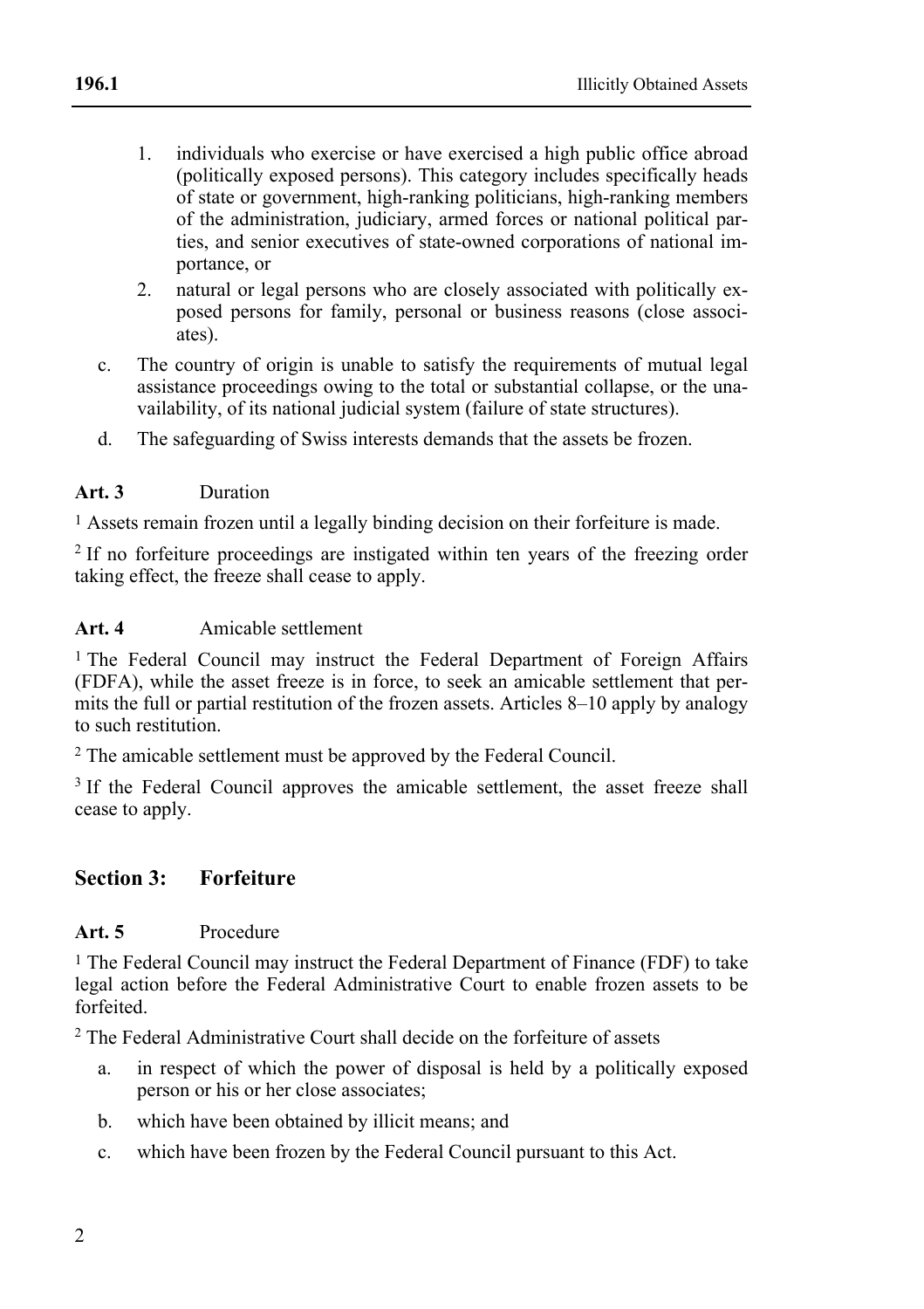- 1. individuals who exercise or have exercised a high public office abroad (politically exposed persons). This category includes specifically heads of state or government, high-ranking politicians, high-ranking members of the administration, judiciary, armed forces or national political parties, and senior executives of state-owned corporations of national importance, or
- 2. natural or legal persons who are closely associated with politically exposed persons for family, personal or business reasons (close associates).
- c. The country of origin is unable to satisfy the requirements of mutual legal assistance proceedings owing to the total or substantial collapse, or the unavailability, of its national judicial system (failure of state structures).
- d. The safeguarding of Swiss interests demands that the assets be frozen.

#### **Art. 3** Duration

1 Assets remain frozen until a legally binding decision on their forfeiture is made.

2 If no forfeiture proceedings are instigated within ten years of the freezing order taking effect, the freeze shall cease to apply.

### **Art. 4** Amicable settlement

<sup>1</sup> The Federal Council may instruct the Federal Department of Foreign Affairs (FDFA), while the asset freeze is in force, to seek an amicable settlement that permits the full or partial restitution of the frozen assets. Articles 8–10 apply by analogy to such restitution.

2 The amicable settlement must be approved by the Federal Council.

<sup>3</sup> If the Federal Council approves the amicable settlement, the asset freeze shall cease to apply.

### **Section 3: Forfeiture**

### **Art. 5** Procedure

1 The Federal Council may instruct the Federal Department of Finance (FDF) to take legal action before the Federal Administrative Court to enable frozen assets to be forfeited.

<sup>2</sup> The Federal Administrative Court shall decide on the forfeiture of assets

- a. in respect of which the power of disposal is held by a politically exposed person or his or her close associates;
- b. which have been obtained by illicit means; and
- c. which have been frozen by the Federal Council pursuant to this Act.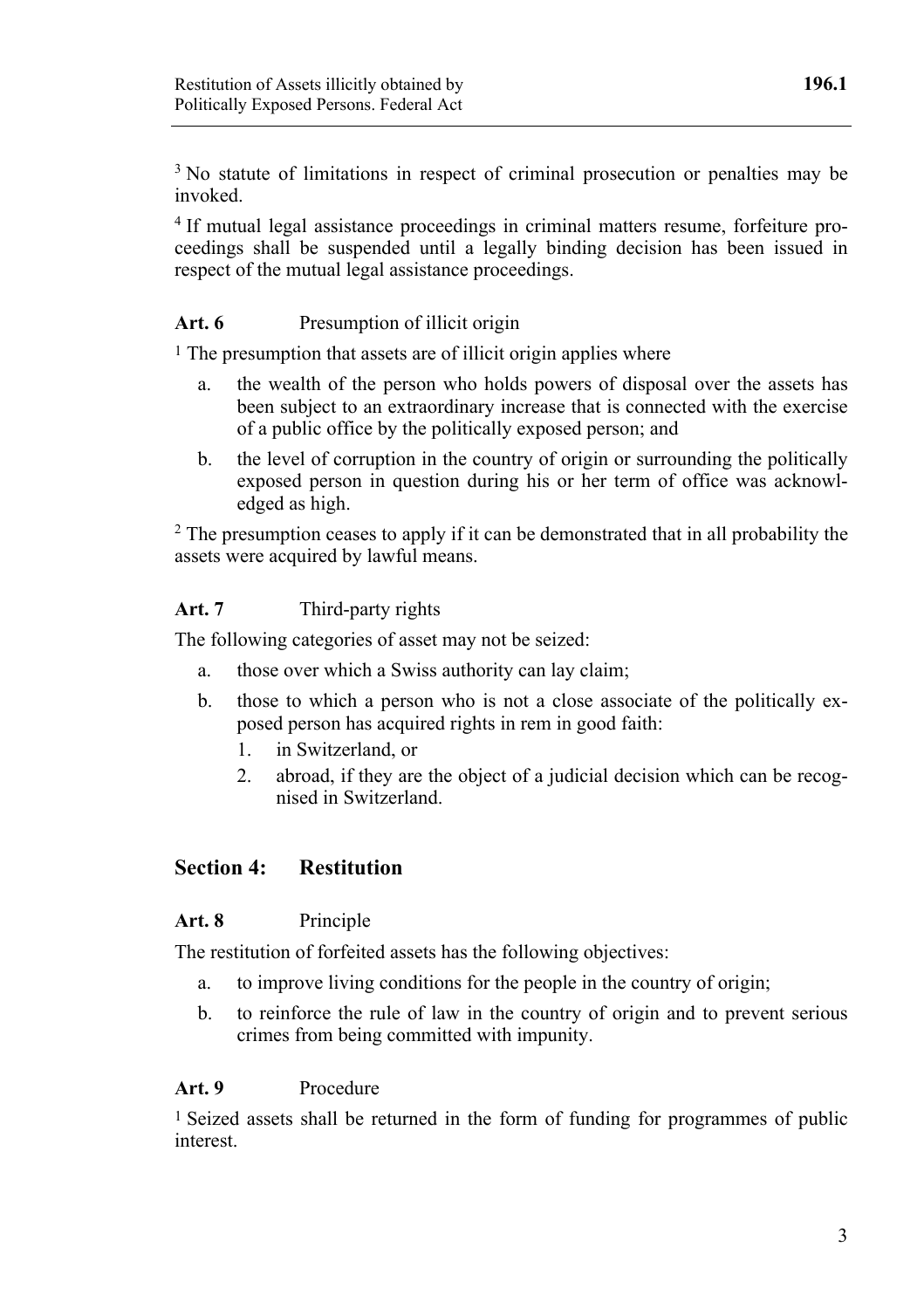<sup>3</sup> No statute of limitations in respect of criminal prosecution or penalties may be invoked.

4 If mutual legal assistance proceedings in criminal matters resume, forfeiture proceedings shall be suspended until a legally binding decision has been issued in respect of the mutual legal assistance proceedings.

### Art. 6 Presumption of illicit origin

1 The presumption that assets are of illicit origin applies where

- a. the wealth of the person who holds powers of disposal over the assets has been subject to an extraordinary increase that is connected with the exercise of a public office by the politically exposed person; and
- b. the level of corruption in the country of origin or surrounding the politically exposed person in question during his or her term of office was acknowledged as high.

<sup>2</sup> The presumption ceases to apply if it can be demonstrated that in all probability the assets were acquired by lawful means.

#### **Art. 7** Third-party rights

The following categories of asset may not be seized:

- a. those over which a Swiss authority can lay claim;
- b. those to which a person who is not a close associate of the politically exposed person has acquired rights in rem in good faith:
	- 1. in Switzerland, or
	- 2. abroad, if they are the object of a judicial decision which can be recognised in Switzerland.

### **Section 4: Restitution**

### **Art. 8** Principle

The restitution of forfeited assets has the following objectives:

- a. to improve living conditions for the people in the country of origin;
- b. to reinforce the rule of law in the country of origin and to prevent serious crimes from being committed with impunity.

#### **Art. 9** Procedure

1 Seized assets shall be returned in the form of funding for programmes of public interest.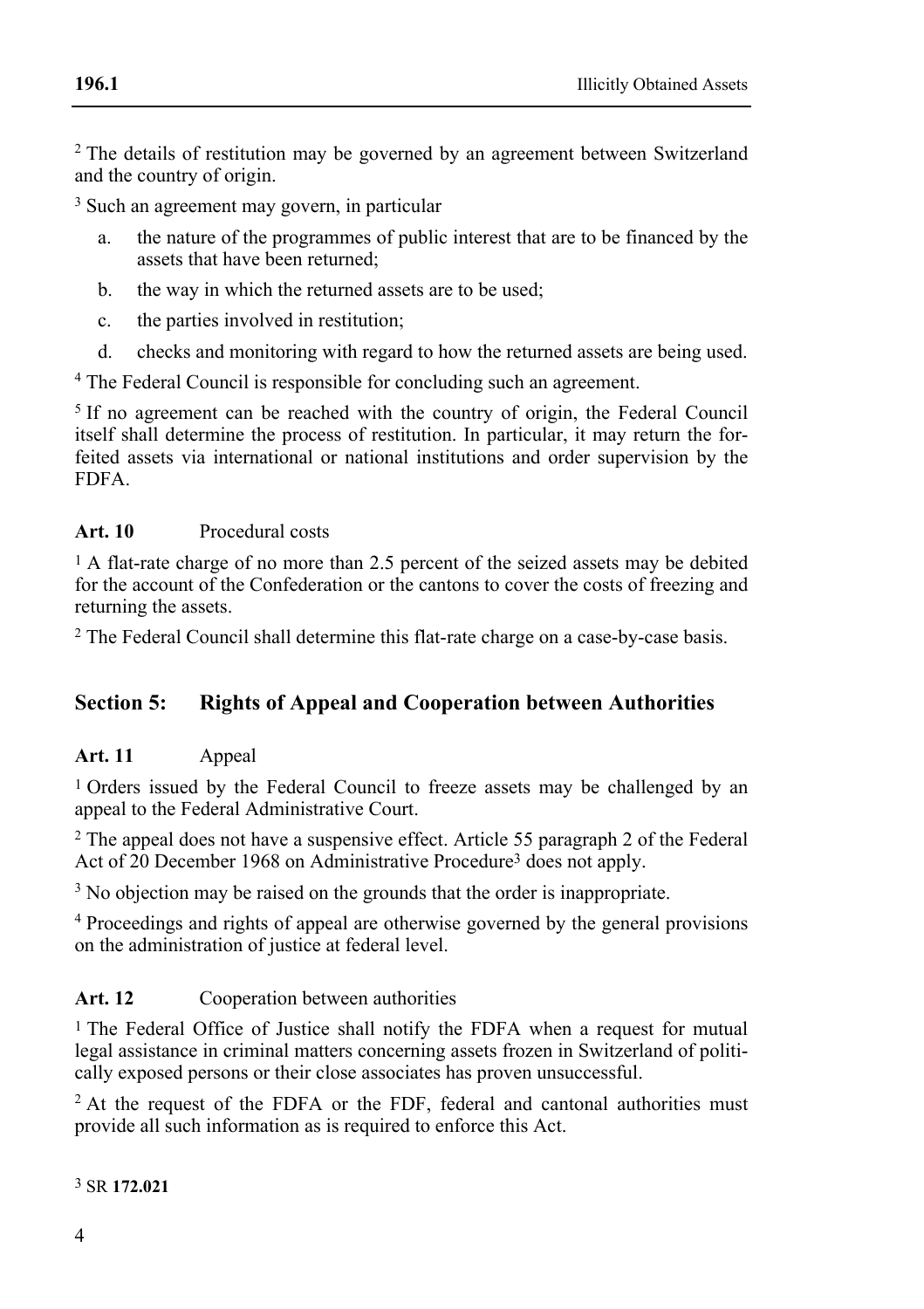<sup>2</sup> The details of restitution may be governed by an agreement between Switzerland and the country of origin.

<sup>3</sup> Such an agreement may govern, in particular

- a. the nature of the programmes of public interest that are to be financed by the assets that have been returned;
- b. the way in which the returned assets are to be used;
- c. the parties involved in restitution;
- d. checks and monitoring with regard to how the returned assets are being used.

4 The Federal Council is responsible for concluding such an agreement.

<sup>5</sup> If no agreement can be reached with the country of origin, the Federal Council itself shall determine the process of restitution. In particular, it may return the forfeited assets via international or national institutions and order supervision by the FDFA.

### **Art. 10** Procedural costs

1 A flat-rate charge of no more than 2.5 percent of the seized assets may be debited for the account of the Confederation or the cantons to cover the costs of freezing and returning the assets.

2 The Federal Council shall determine this flat-rate charge on a case-by-case basis.

## **Section 5: Rights of Appeal and Cooperation between Authorities**

### **Art. 11** Appeal

1 Orders issued by the Federal Council to freeze assets may be challenged by an appeal to the Federal Administrative Court.

 $2$  The appeal does not have a suspensive effect. Article 55 paragraph 2 of the Federal Act of 20 December 1968 on Administrative Procedure3 does not apply.

<sup>3</sup> No objection may be raised on the grounds that the order is inappropriate.

4 Proceedings and rights of appeal are otherwise governed by the general provisions on the administration of justice at federal level.

### Art. 12 Cooperation between authorities

1 The Federal Office of Justice shall notify the FDFA when a request for mutual legal assistance in criminal matters concerning assets frozen in Switzerland of politically exposed persons or their close associates has proven unsuccessful.

 $2$  At the request of the FDFA or the FDF, federal and cantonal authorities must provide all such information as is required to enforce this Act.

3 SR **172.021**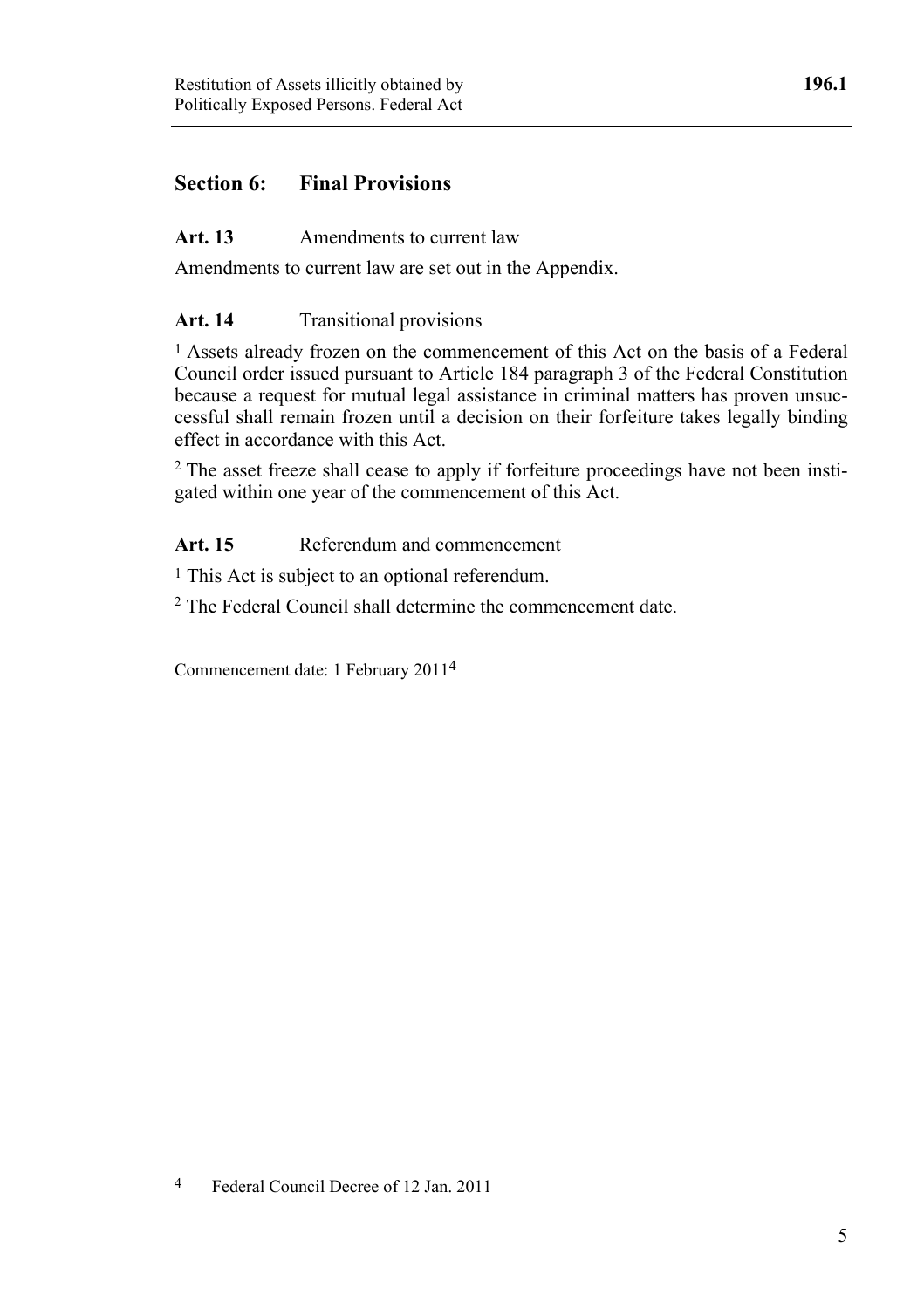## **Section 6: Final Provisions**

### Art. 13 Amendments to current law

Amendments to current law are set out in the Appendix.

### Art. 14 Transitional provisions

1 Assets already frozen on the commencement of this Act on the basis of a Federal Council order issued pursuant to Article 184 paragraph 3 of the Federal Constitution because a request for mutual legal assistance in criminal matters has proven unsuccessful shall remain frozen until a decision on their forfeiture takes legally binding effect in accordance with this Act.

<sup>2</sup> The asset freeze shall cease to apply if forfeiture proceedings have not been instigated within one year of the commencement of this Act.

### Art. 15 Referendum and commencement

1 This Act is subject to an optional referendum.

2 The Federal Council shall determine the commencement date.

Commencement date: 1 February 20114